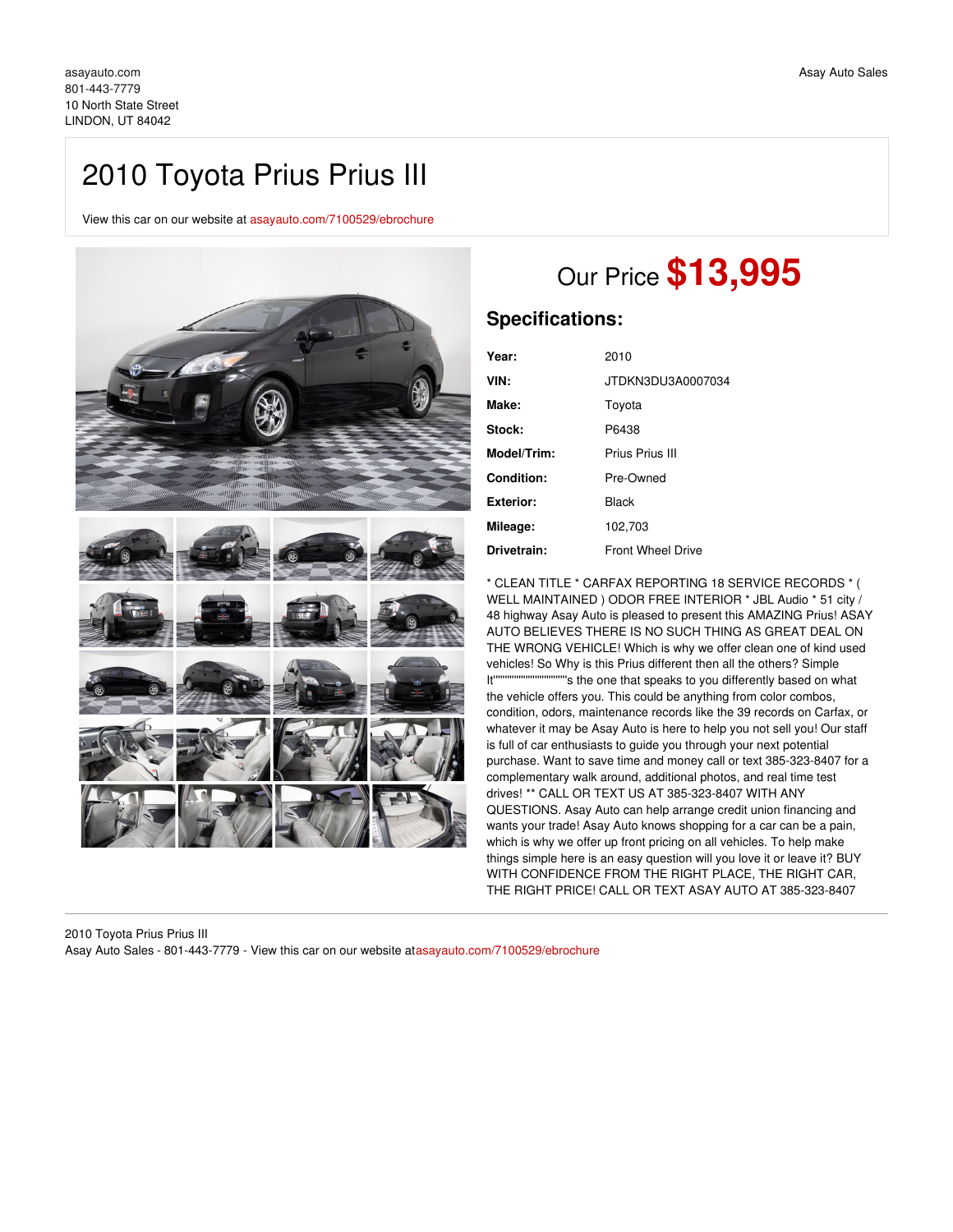## 2010 Toyota Prius Prius III

View this car on our website at [asayauto.com/7100529/ebrochure](https://asayauto.com/vehicle/7100529/2010-toyota-prius-prius-iii-lindon-ut-84042/7100529/ebrochure)



## Our Price **\$13,995**

## **Specifications:**

| Year:            | 2010                     |
|------------------|--------------------------|
| VIN:             | JTDKN3DU3A0007034        |
| Make:            | Toyota                   |
| Stock:           | P6438                    |
| Model/Trim:      | Prius Prius III          |
| Condition:       | Pre-Owned                |
| <b>Exterior:</b> | Black                    |
| Mileage:         | 102,703                  |
| Drivetrain:      | <b>Front Wheel Drive</b> |

\* CLEAN TITLE \* CARFAX REPORTING 18 SERVICE RECORDS \* ( WELL MAINTAINED ) ODOR FREE INTERIOR \* JBL Audio \* 51 city / 48 highway Asay Auto is pleased to present this AMAZING Prius! ASAY AUTO BELIEVES THERE IS NO SUCH THING AS GREAT DEAL ON THE WRONG VEHICLE! Which is why we offer clean one of kind used vehicles! So Why is this Prius different then all the others? Simple It''''''''''''''''''''''''''''''''s the one that speaks to you differently based on what the vehicle offers you. This could be anything from color combos, condition, odors, maintenance records like the 39 records on Carfax, or whatever it may be Asay Auto is here to help you not sell you! Our staff is full of car enthusiasts to guide you through your next potential purchase. Want to save time and money call or text 385-323-8407 for a complementary walk around, additional photos, and real time test drives! \*\* CALL OR TEXT US AT 385-323-8407 WITH ANY QUESTIONS. Asay Auto can help arrange credit union financing and wants your trade! Asay Auto knows shopping for a car can be a pain, which is why we offer up front pricing on all vehicles. To help make things simple here is an easy question will you love it or leave it? BUY WITH CONFIDENCE FROM THE RIGHT PLACE, THE RIGHT CAR, THE RIGHT PRICE! CALL OR TEXT ASAY AUTO AT 385-323-8407

2010 Toyota Prius Prius III Asay Auto Sales - 801-443-7779 - View this car on our website at[asayauto.com/7100529/ebrochure](https://asayauto.com/vehicle/7100529/2010-toyota-prius-prius-iii-lindon-ut-84042/7100529/ebrochure)